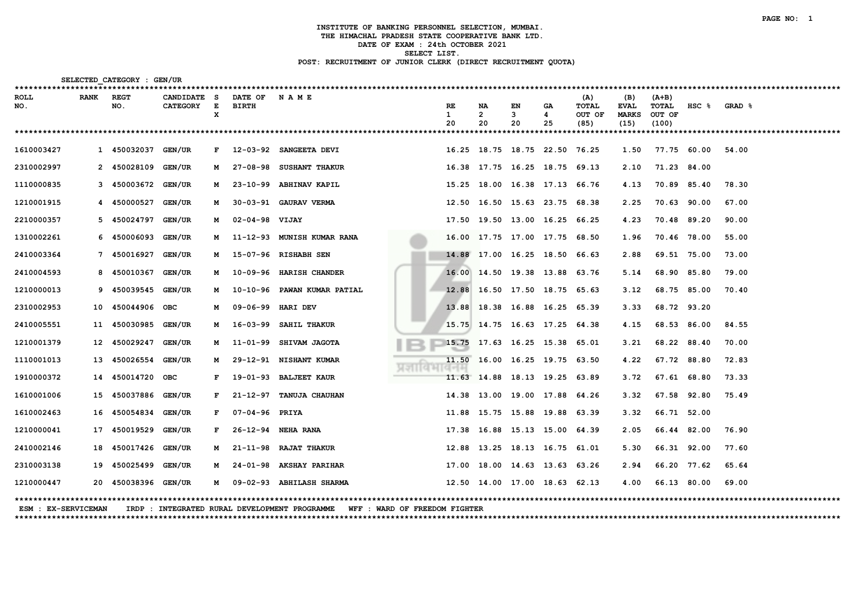## INSTITUTE OF BANKING PERSONNEL SELECTION, MUMBAI. THE HIMACHAL PRADESH STATE COOPERATIVE BANK LTD. DATE OF EXAM : 24th OCTOBER 2021 SELECT LIST. POST: RECRUITMENT OF JUNIOR CLERK (DIRECT RECRUITMENT QUOTA)

| SELECTED CATEGORY : GEN/UR      |             |                    |                 |     |                   |                               |            |    |                |                               |    |        |              |             |             |        |
|---------------------------------|-------------|--------------------|-----------------|-----|-------------------|-------------------------------|------------|----|----------------|-------------------------------|----|--------|--------------|-------------|-------------|--------|
| ******************************* |             |                    |                 |     |                   |                               |            |    |                |                               |    |        |              |             |             |        |
| <b>ROLL</b>                     | <b>RANK</b> | <b>REGT</b>        | CANDIDATE       | - s | DATE OF           | NAME                          |            |    |                |                               |    | (A)    | (B)          | $(A+B)$     |             |        |
| NO.                             |             | NO.                | <b>CATEGORY</b> | E   | <b>BIRTH</b>      |                               |            | RE | NA             | EN                            | GA | TOTAL  | <b>EVAL</b>  | TOTAL       | $HSC$ $%$   | GRAD & |
|                                 |             |                    |                 | x   |                   |                               |            | 1  | $\overline{2}$ | 3                             | 4  | OUT OF | <b>MARKS</b> | OUT OF      |             |        |
|                                 |             |                    |                 |     |                   |                               |            | 20 | 20             | 20                            | 25 | (85)   | (15)         | (100)       |             |        |
|                                 |             |                    |                 |     |                   |                               |            |    |                |                               |    |        |              |             |             |        |
| 1610003427                      |             | 1 450032037 GEN/UR |                 |     |                   | F 12-03-92 SANGEETA DEVI      |            |    |                | 16.25 18.75 18.75 22.50 76.25 |    |        | 1.50         | 77.75 60.00 |             | 54.00  |
| 2310002997                      |             | 2 450028109 GEN/UR |                 |     | м 27-08-98        | <b>SUSHANT THAKUR</b>         |            |    |                | 16.38 17.75 16.25 18.75 69.13 |    |        | 2.10         | 71.23 84.00 |             |        |
| 1110000835                      |             | 3 450003672 GEN/UR |                 |     |                   | M 23-10-99 ABHINAV KAPIL      |            |    |                | 15.25 18.00 16.38 17.13 66.76 |    |        | 4.13         | 70.89 85.40 |             | 78.30  |
| 1210001915                      |             | 4 450000527        | <b>GEN/UR</b>   | M   |                   | 30-03-91 GAURAV VERMA         |            |    |                | 12.50 16.50 15.63 23.75 68.38 |    |        | 2.25         | 70.63       | 90.00       | 67.00  |
| 2210000357                      |             | 5 450024797 GEN/UR |                 | м   | 02-04-98 VIJAY    |                               |            |    |                | 17.50 19.50 13.00 16.25 66.25 |    |        | 4.23         | 70.48       | 89.20       | 90.00  |
| 1310002261                      |             | 6 450006093 GEN/UR |                 |     |                   | M 11-12-93 MUNISH KUMAR RANA  |            |    |                | 16.00 17.75 17.00 17.75 68.50 |    |        | 1.96         |             | 70.46 78.00 | 55.00  |
| 2410003364                      |             | 7 450016927        | <b>GEN/UR</b>   | м   |                   | 15-07-96 RISHABH SEN          |            |    |                | 14.88 17.00 16.25 18.50 66.63 |    |        | 2.88         | 69.51       | 75.00       | 73.00  |
| 2410004593                      |             | 8 450010367 GEN/UR |                 |     |                   | M 10-09-96 HARISH CHANDER     |            |    |                | 16.00 14.50 19.38 13.88 63.76 |    |        | 5.14         |             | 68.90 85.80 | 79.00  |
| 1210000013                      |             | 9 450039545 GEN/UR |                 |     |                   | M 10-10-96 PAWAN KUMAR PATIAL |            |    |                | 12.88 16.50 17.50 18.75 65.63 |    |        | 3.12         |             | 68.75 85.00 | 70.40  |
| 2310002953                      | 10          | 450044906 OBC      |                 | м   | 09-06-99 HARI DEV |                               |            |    |                | 13.88 18.38 16.88 16.25 65.39 |    |        | 3.33         | 68.72 93.20 |             |        |
| 2410005551                      | 11          | 450030985 GEN/UR   |                 |     |                   | M 16-03-99 SAHIL THAKUR       |            |    |                | 15.75 14.75 16.63 17.25 64.38 |    |        | 4.15         | 68.53       | 86.00       | 84.55  |
| 1210001379                      | 12          | 450029247 GEN/UR   |                 |     |                   | M 11-01-99 SHIVAM JAGOTA      |            |    |                | 15.75 17.63 16.25 15.38 65.01 |    |        | 3.21         |             | 68.22 88.40 | 70.00  |
| 1110001013                      | 13          | 450026554 GEN/UR   |                 |     |                   | M 29-12-91 NISHANT KUMAR      | प्रशायमायन |    |                | 11.50 16.00 16.25 19.75 63.50 |    |        | 4.22         |             | 67.72 88.80 | 72.83  |
| 1910000372                      | 14          | 450014720 OBC      |                 | F   |                   | 19-01-93 BALJEET KAUR         |            |    |                | 11.63 14.88 18.13 19.25 63.89 |    |        | 3.72         | 67.61       | 68.80       | 73.33  |
| 1610001006                      | 15          | 450037886 GEN/UR   |                 | F   |                   | 21-12-97 TANUJA CHAUHAN       |            |    |                | 14.38 13.00 19.00 17.88 64.26 |    |        | 3.32         | 67.58 92.80 |             | 75.49  |
| 1610002463                      | 16          | 450054834 GEN/UR   |                 |     | F 07-04-96 PRIYA  |                               |            |    |                | 11.88 15.75 15.88 19.88 63.39 |    |        | 3.32         | 66.71 52.00 |             |        |
| 1210000041                      | 17          | 450019529 GEN/UR   |                 | F   |                   | 26-12-94 NEHA RANA            |            |    |                | 17.38 16.88 15.13 15.00 64.39 |    |        | 2.05         | 66.44       | 82.00       | 76.90  |
| 2410002146                      | 18          | 450017426 GEN/UR   |                 | M   |                   | 21-11-98 RAJAT THAKUR         |            |    |                | 12.88 13.25 18.13 16.75 61.01 |    |        | 5.30         | 66.31       | 92.00       | 77.60  |
| 2310003138                      | 19          | 450025499 GEN/UR   |                 |     |                   | M 24-01-98 AKSHAY PARIHAR     |            |    |                | 17.00 18.00 14.63 13.63 63.26 |    |        | 2.94         | 66.20       | 77.62       | 65.64  |
| 1210000447                      | 20          | 450038396 GEN/UR   |                 | м   |                   | 09-02-93 ABHILASH SHARMA      |            |    |                | 12.50 14.00 17.00 18.63 62.13 |    |        | 4.00         |             | 66.13 80.00 | 69.00  |

ESM : EX-SERVICEMAN IRDP : INTEGRATED RURAL DEVELOPMENT PROGRAMME WFF : WARD OF FREEDOM FIGHTER